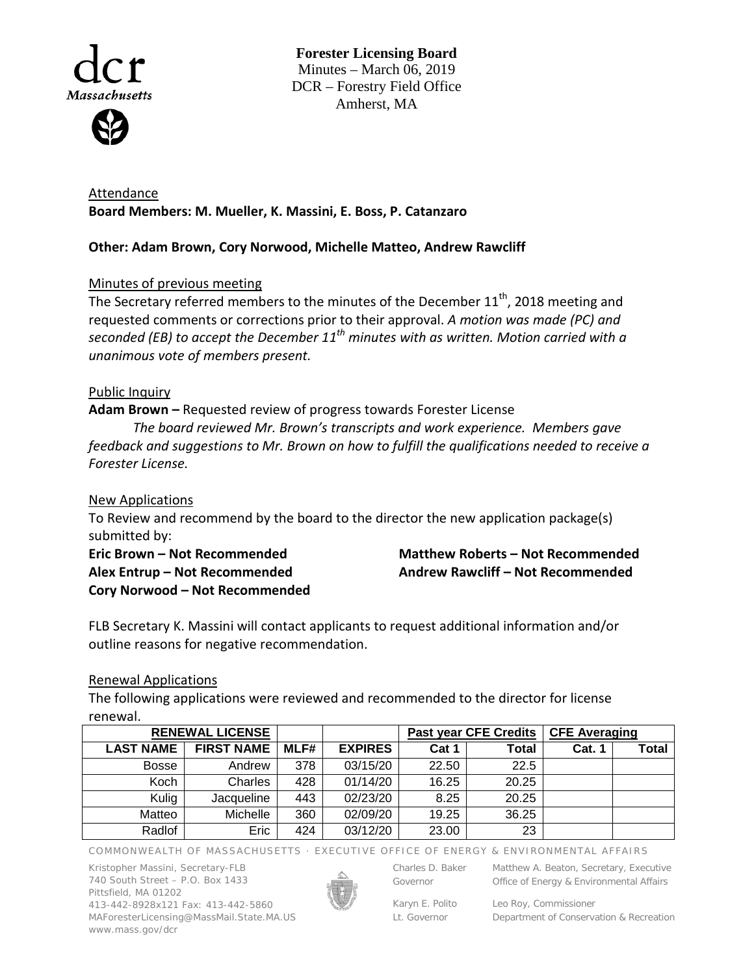

**Forester Licensing Board**  Minutes – March 06, 2019 DCR – Forestry Field Office Amherst, MA

Attendance **Board Members: M. Mueller, K. Massini, E. Boss, P. Catanzaro**

# **Other: Adam Brown, Cory Norwood, Michelle Matteo, Andrew Rawcliff**

# Minutes of previous meeting

The Secretary referred members to the minutes of the December 11<sup>th</sup>, 2018 meeting and requested comments or corrections prior to their approval. *A motion was made (PC) and seconded (EB) to accept the December 11th minutes with as written. Motion carried with a unanimous vote of members present.* 

### Public Inquiry

**Adam Brown –** Requested review of progress towards Forester License

*The board reviewed Mr. Brown's transcripts and work experience. Members gave feedback and suggestions to Mr. Brown on how to fulfill the qualifications needed to receive a Forester License.*

New Applications

To Review and recommend by the board to the director the new application package(s) submitted by:

**Eric Brown – Not Recommended Alex Entrup – Not Recommended Cory Norwood – Not Recommended**

**Matthew Roberts – Not Recommended Andrew Rawcliff – Not Recommended**

FLB Secretary K. Massini will contact applicants to request additional information and/or outline reasons for negative recommendation.

#### Renewal Applications

The following applications were reviewed and recommended to the director for license renewal.

| <b>RENEWAL LICENSE</b> |                   |      |                | <b>Past year CFE Credits</b> |       | <b>CFE Averaging</b> |       |
|------------------------|-------------------|------|----------------|------------------------------|-------|----------------------|-------|
| <b>LAST NAME</b>       | <b>FIRST NAME</b> | MLF# | <b>EXPIRES</b> | Cat 1                        | Total | <b>Cat. 1</b>        | Total |
| <b>Bosse</b>           | Andrew            | 378  | 03/15/20       | 22.50                        | 22.5  |                      |       |
| Koch                   | Charles           | 428  | 01/14/20       | 16.25                        | 20.25 |                      |       |
| Kulig                  | Jacqueline        | 443  | 02/23/20       | 8.25                         | 20.25 |                      |       |
| Matteo                 | Michelle          | 360  | 02/09/20       | 19.25                        | 36.25 |                      |       |
| Radlof                 | Eric              | 424  | 03/12/20       | 23.00                        | 23    |                      |       |

COMMONWEALTH OF MASSACHUSETTS · EXECUTIVE OFFICE OF ENERGY & ENVIRONMENTAL AFFAIRS

Kristopher Massini, Secretary-FLB 740 South Street – P.O. Box 1433 Pittsfield, MA 01202 413-442-8928x121 Fax: 413-442-5860 MAForesterLicensing@MassMail.State.MA.US www.mass.gov/dcr



Governor

Charles D. Baker Matthew A. Beaton, Secretary, Executive

Office of Energy & Environmental Affairs

Karyn E. Polito Lt. Governor

Leo Roy, Commissioner Department of Conservation & Recreation